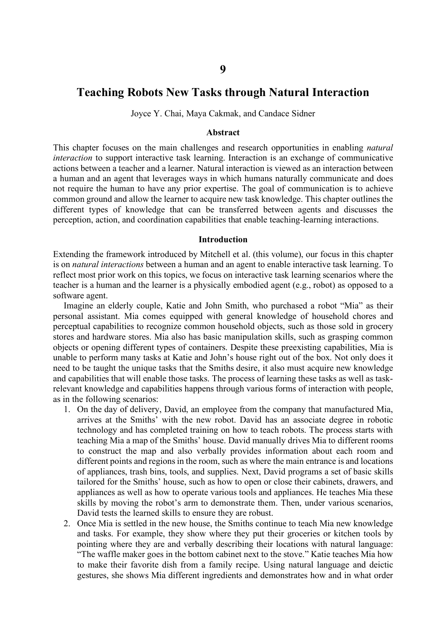# **Teaching Robots New Tasks through Natural Interaction**

Joyce Y. Chai, Maya Cakmak, and Candace Sidner

#### **Abstract**

This chapter focuses on the main challenges and research opportunities in enabling *natural interaction* to support interactive task learning. Interaction is an exchange of communicative actions between a teacher and a learner. Natural interaction is viewed as an interaction between a human and an agent that leverages ways in which humans naturally communicate and does not require the human to have any prior expertise. The goal of communication is to achieve common ground and allow the learner to acquire new task knowledge. This chapter outlines the different types of knowledge that can be transferred between agents and discusses the perception, action, and coordination capabilities that enable teaching-learning interactions.

#### **Introduction**

Extending the framework introduced by Mitchell et al. (this volume), our focus in this chapter is on *natural interactions* between a human and an agent to enable interactive task learning. To reflect most prior work on this topics, we focus on interactive task learning scenarios where the teacher is a human and the learner is a physically embodied agent (e.g., robot) as opposed to a software agent.

Imagine an elderly couple, Katie and John Smith, who purchased a robot "Mia" as their personal assistant. Mia comes equipped with general knowledge of household chores and perceptual capabilities to recognize common household objects, such as those sold in grocery stores and hardware stores. Mia also has basic manipulation skills, such as grasping common objects or opening different types of containers. Despite these preexisting capabilities, Mia is unable to perform many tasks at Katie and John's house right out of the box. Not only does it need to be taught the unique tasks that the Smiths desire, it also must acquire new knowledge and capabilities that will enable those tasks. The process of learning these tasks as well as taskrelevant knowledge and capabilities happens through various forms of interaction with people, as in the following scenarios:

- 1. On the day of delivery, David, an employee from the company that manufactured Mia, arrives at the Smiths' with the new robot. David has an associate degree in robotic technology and has completed training on how to teach robots. The process starts with teaching Mia a map of the Smiths' house. David manually drives Mia to different rooms to construct the map and also verbally provides information about each room and different points and regions in the room, such as where the main entrance is and locations of appliances, trash bins, tools, and supplies. Next, David programs a set of basic skills tailored for the Smiths' house, such as how to open or close their cabinets, drawers, and appliances as well as how to operate various tools and appliances. He teaches Mia these skills by moving the robot's arm to demonstrate them. Then, under various scenarios, David tests the learned skills to ensure they are robust.
- 2. Once Mia is settled in the new house, the Smiths continue to teach Mia new knowledge and tasks. For example, they show where they put their groceries or kitchen tools by pointing where they are and verbally describing their locations with natural language: "The waffle maker goes in the bottom cabinet next to the stove." Katie teaches Mia how to make their favorite dish from a family recipe. Using natural language and deictic gestures, she shows Mia different ingredients and demonstrates how and in what order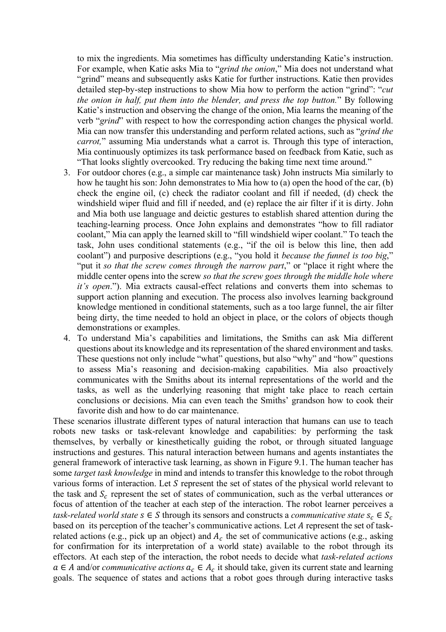to mix the ingredients. Mia sometimes has difficulty understanding Katie's instruction. For example, when Katie asks Mia to "*grind the onion*," Mia does not understand what "grind" means and subsequently asks Katie for further instructions. Katie then provides detailed step-by-step instructions to show Mia how to perform the action "grind": "*cut the onion in half, put them into the blender, and press the top button.*" By following Katie's instruction and observing the change of the onion, Mia learns the meaning of the verb "*grind*" with respect to how the corresponding action changes the physical world. Mia can now transfer this understanding and perform related actions, such as "*grind the carrot,*" assuming Mia understands what a carrot is. Through this type of interaction, Mia continuously optimizes its task performance based on feedback from Katie, such as "That looks slightly overcooked. Try reducing the baking time next time around."

- 3. For outdoor chores (e.g., a simple car maintenance task) John instructs Mia similarly to how he taught his son: John demonstrates to Mia how to (a) open the hood of the car, (b) check the engine oil, (c) check the radiator coolant and fill if needed, (d) check the windshield wiper fluid and fill if needed, and (e) replace the air filter if it is dirty. John and Mia both use language and deictic gestures to establish shared attention during the teaching-learning process. Once John explains and demonstrates "how to fill radiator coolant," Mia can apply the learned skill to "fill windshield wiper coolant." To teach the task, John uses conditional statements (e.g., "if the oil is below this line, then add coolant") and purposive descriptions (e.g., "you hold it *because the funnel is too big*," "put it *so that the screw comes through the narrow part*," or "place it right where the middle center opens into the screw *so that the screw goes through the middle hole where it's open*."). Mia extracts causal-effect relations and converts them into schemas to support action planning and execution. The process also involves learning background knowledge mentioned in conditional statements, such as a too large funnel, the air filter being dirty, the time needed to hold an object in place, or the colors of objects though demonstrations or examples.
- 4. To understand Mia's capabilities and limitations, the Smiths can ask Mia different questions about its knowledge and its representation of the shared environment and tasks. These questions not only include "what" questions, but also "why" and "how" questions to assess Mia's reasoning and decision-making capabilities. Mia also proactively communicates with the Smiths about its internal representations of the world and the tasks, as well as the underlying reasoning that might take place to reach certain conclusions or decisions. Mia can even teach the Smiths' grandson how to cook their favorite dish and how to do car maintenance.

These scenarios illustrate different types of natural interaction that humans can use to teach robots new tasks or task-relevant knowledge and capabilities: by performing the task themselves, by verbally or kinesthetically guiding the robot, or through situated language instructions and gestures. This natural interaction between humans and agents instantiates the general framework of interactive task learning, as shown in Figure 9.1. The human teacher has some *target task knowledge* in mind and intends to transfer this knowledge to the robot through various forms of interaction. Let  $S$  represent the set of states of the physical world relevant to the task and  $S_c$  represent the set of states of communication, such as the verbal utterances or focus of attention of the teacher at each step of the interaction. The robot learner perceives a *task-related world state*  $s \in S$  through its sensors and constructs a *communicative state*  $s_c \in S_c$ based on its perception of the teacher's communicative actions. Let A represent the set of taskrelated actions (e.g., pick up an object) and  $A_c$  the set of communicative actions (e.g., asking for confirmation for its interpretation of a world state) available to the robot through its effectors. At each step of the interaction, the robot needs to decide what *task-related actions*  $a \in A$  and/or *communicative actions*  $a_c \in A_c$  it should take, given its current state and learning goals. The sequence of states and actions that a robot goes through during interactive tasks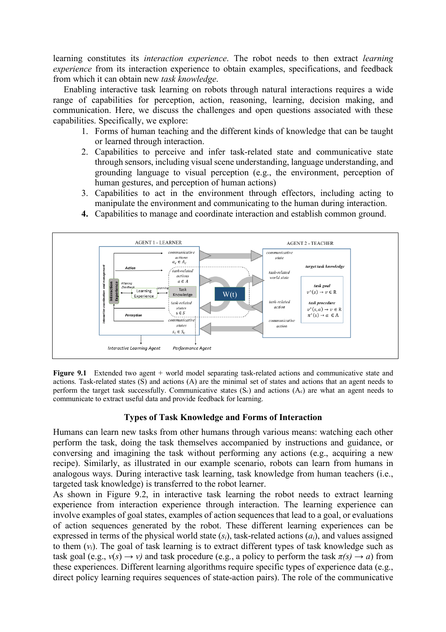learning constitutes its *interaction experience*. The robot needs to then extract *learning experience* from its interaction experience to obtain examples, specifications, and feedback from which it can obtain new *task knowledge*.

Enabling interactive task learning on robots through natural interactions requires a wide range of capabilities for perception, action, reasoning, learning, decision making, and communication. Here, we discuss the challenges and open questions associated with these capabilities. Specifically, we explore:

- 1. Forms of human teaching and the different kinds of knowledge that can be taught or learned through interaction.
- 2. Capabilities to perceive and infer task-related state and communicative state through sensors, including visual scene understanding, language understanding, and grounding language to visual perception (e.g., the environment, perception of human gestures, and perception of human actions)
- 3. Capabilities to act in the environment through effectors, including acting to manipulate the environment and communicating to the human during interaction.



**4.** Capabilities to manage and coordinate interaction and establish common ground.

**Figure 9.1** Extended two agent + world model separating task-related actions and communicative state and actions. Task-related states (S) and actions (A) are the minimal set of states and actions that an agent needs to perform the target task successfully. Communicative states  $(S_c)$  and actions  $(A_c)$  are what an agent needs to communicate to extract useful data and provide feedback for learning.

## **Types of Task Knowledge and Forms of Interaction**

Humans can learn new tasks from other humans through various means: watching each other perform the task, doing the task themselves accompanied by instructions and guidance, or conversing and imagining the task without performing any actions (e.g., acquiring a new recipe). Similarly, as illustrated in our example scenario, robots can learn from humans in analogous ways. During interactive task learning, task knowledge from human teachers (i.e., targeted task knowledge) is transferred to the robot learner.

As shown in Figure 9.2, in interactive task learning the robot needs to extract learning experience from interaction experience through interaction. The learning experience can involve examples of goal states, examples of action sequences that lead to a goal, or evaluations of action sequences generated by the robot. These different learning experiences can be expressed in terms of the physical world state (*si*), task-related actions (*ai*), and values assigned to them (*vi*). The goal of task learning is to extract different types of task knowledge such as task goal (e.g.,  $v(s) \rightarrow v$ ) and task procedure (e.g., a policy to perform the task  $\pi(s) \rightarrow a$ ) from these experiences. Different learning algorithms require specific types of experience data (e.g., direct policy learning requires sequences of state-action pairs). The role of the communicative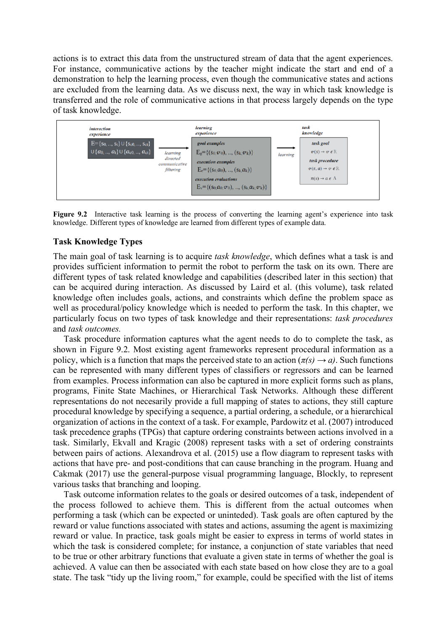actions is to extract this data from the unstructured stream of data that the agent experiences. For instance, communicative actions by the teacher might indicate the start and end of a demonstration to help the learning process, even though the communicative states and actions are excluded from the learning data. As we discuss next, the way in which task knowledge is transferred and the role of communicative actions in that process largely depends on the type of task knowledge.



**Figure 9.2** Interactive task learning is the process of converting the learning agent's experience into task knowledge. Different types of knowledge are learned from different types of example data.

### **Task Knowledge Types**

The main goal of task learning is to acquire *task knowledge*, which defines what a task is and provides sufficient information to permit the robot to perform the task on its own. There are different types of task related knowledge and capabilities (described later in this section) that can be acquired during interaction. As discussed by Laird et al. (this volume), task related knowledge often includes goals, actions, and constraints which define the problem space as well as procedural/policy knowledge which is needed to perform the task. In this chapter, we particularly focus on two types of task knowledge and their representations: *task procedures*  and *task outcomes.*

Task procedure information captures what the agent needs to do to complete the task, as shown in Figure 9.2. Most existing agent frameworks represent procedural information as a policy, which is a function that maps the perceived state to an action  $(\pi(s) \rightarrow a)$ . Such functions can be represented with many different types of classifiers or regressors and can be learned from examples. Process information can also be captured in more explicit forms such as plans, programs, Finite State Machines, or Hierarchical Task Networks. Although these different representations do not necesarily provide a full mapping of states to actions, they still capture procedural knowledge by specifying a sequence, a partial ordering, a schedule, or a hierarchical organization of actions in the context of a task. For example, Pardowitz et al. (2007) introduced task precedence graphs (TPGs) that capture ordering constraints between actions involved in a task. Similarly, Ekvall and Kragic (2008) represent tasks with a set of ordering constraints between pairs of actions. Alexandrova et al. (2015) use a flow diagram to represent tasks with actions that have pre- and post-conditions that can cause branching in the program. Huang and Cakmak (2017) use the general-purpose visual programming language, Blockly, to represent various tasks that branching and looping.

Task outcome information relates to the goals or desired outcomes of a task, independent of the process followed to achieve them. This is different from the actual outcomes when performing a task (which can be expected or uninteded). Task goals are often captured by the reward or value functions associated with states and actions, assuming the agent is maximizing reward or value. In practice, task goals might be easier to express in terms of world states in which the task is considered complete; for instance, a conjunction of state variables that need to be true or other arbitrary functions that evaluate a given state in terms of whether the goal is achieved. A value can then be associated with each state based on how close they are to a goal state. The task "tidy up the living room," for example, could be specified with the list of items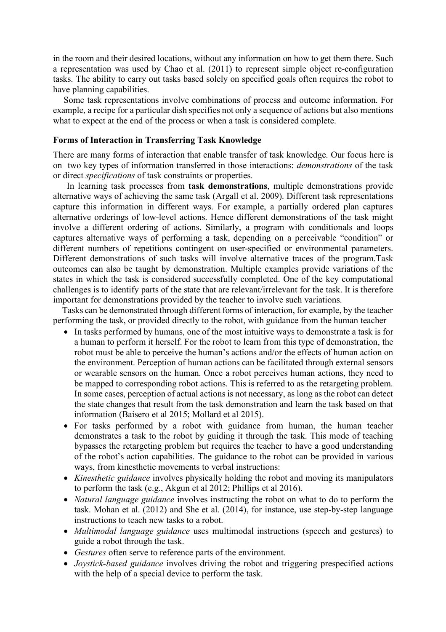in the room and their desired locations, without any information on how to get them there. Such a representation was used by Chao et al. (2011) to represent simple object re-configuration tasks. The ability to carry out tasks based solely on specified goals often requires the robot to have planning capabilities.

Some task representations involve combinations of process and outcome information. For example, a recipe for a particular dish specifies not only a sequence of actions but also mentions what to expect at the end of the process or when a task is considered complete.

### **Forms of Interaction in Transferring Task Knowledge**

There are many forms of interaction that enable transfer of task knowledge. Our focus here is on two key types of information transferred in those interactions: *demonstrations* of the task or direct *specifications* of task constraints or properties.

 In learning task processes from **task demonstrations**, multiple demonstrations provide alternative ways of achieving the same task (Argall et al. 2009). Different task representations capture this information in different ways. For example, a partially ordered plan captures alternative orderings of low-level actions. Hence different demonstrations of the task might involve a different ordering of actions. Similarly, a program with conditionals and loops captures alternative ways of performing a task, depending on a perceivable "condition" or different numbers of repetitions contingent on user-specified or environmental parameters. Different demonstrations of such tasks will involve alternative traces of the program.Task outcomes can also be taught by demonstration. Multiple examples provide variations of the states in which the task is considered successfully completed. One of the key computational challenges is to identify parts of the state that are relevant/irrelevant for the task. It is therefore important for demonstrations provided by the teacher to involve such variations.

 Tasks can be demonstrated through different forms of interaction, for example, by the teacher performing the task, or provided directly to the robot, with guidance from the human teacher

- In tasks performed by humans, one of the most intuitive ways to demonstrate a task is for a human to perform it herself. For the robot to learn from this type of demonstration, the robot must be able to perceive the human's actions and/or the effects of human action on the environment. Perception of human actions can be facilitated through external sensors or wearable sensors on the human. Once a robot perceives human actions, they need to be mapped to corresponding robot actions. This is referred to as the retargeting problem. In some cases, perception of actual actions is not necessary, as long as the robot can detect the state changes that result from the task demonstration and learn the task based on that information (Baisero et al 2015; Mollard et al 2015).
- For tasks performed by a robot with guidance from human, the human teacher demonstrates a task to the robot by guiding it through the task. This mode of teaching bypasses the retargeting problem but requires the teacher to have a good understanding of the robot's action capabilities. The guidance to the robot can be provided in various ways, from kinesthetic movements to verbal instructions:
- *Kinesthetic guidance* involves physically holding the robot and moving its manipulators to perform the task (e.g., Akgun et al 2012; Phillips et al 2016).
- *Natural language guidance* involves instructing the robot on what to do to perform the task. Mohan et al. (2012) and She et al. (2014), for instance, use step-by-step language instructions to teach new tasks to a robot.
- *Multimodal language guidance* uses multimodal instructions (speech and gestures) to guide a robot through the task.
- *Gestures* often serve to reference parts of the environment.
- *Joystick-based guidance* involves driving the robot and triggering prespecified actions with the help of a special device to perform the task.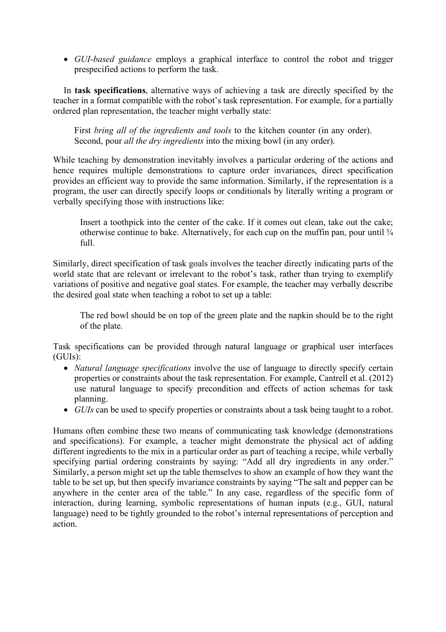• *GUI-based guidance* employs a graphical interface to control the robot and trigger prespecified actions to perform the task.

In **task specifications**, alternative ways of achieving a task are directly specified by the teacher in a format compatible with the robot's task representation. For example, for a partially ordered plan representation, the teacher might verbally state:

First *bring all of the ingredients and tools* to the kitchen counter (in any order). Second, pour *all the dry ingredients* into the mixing bowl (in any order).

While teaching by demonstration inevitably involves a particular ordering of the actions and hence requires multiple demonstrations to capture order invariances, direct specification provides an efficient way to provide the same information. Similarly, if the representation is a program, the user can directly specify loops or conditionals by literally writing a program or verbally specifying those with instructions like:

Insert a toothpick into the center of the cake. If it comes out clean, take out the cake; otherwise continue to bake. Alternatively, for each cup on the muffin pan, pour until  $\frac{3}{4}$ full.

Similarly, direct specification of task goals involves the teacher directly indicating parts of the world state that are relevant or irrelevant to the robot's task, rather than trying to exemplify variations of positive and negative goal states. For example, the teacher may verbally describe the desired goal state when teaching a robot to set up a table:

The red bowl should be on top of the green plate and the napkin should be to the right of the plate.

Task specifications can be provided through natural language or graphical user interfaces (GUIs):

- *Natural language specifications* involve the use of language to directly specify certain properties or constraints about the task representation. For example, Cantrell et al. (2012) use natural language to specify precondition and effects of action schemas for task planning.
- *GUIs* can be used to specify properties or constraints about a task being taught to a robot.

Humans often combine these two means of communicating task knowledge (demonstrations and specifications). For example, a teacher might demonstrate the physical act of adding different ingredients to the mix in a particular order as part of teaching a recipe, while verbally specifying partial ordering constraints by saying: "Add all dry ingredients in any order." Similarly, a person might set up the table themselves to show an example of how they want the table to be set up, but then specify invariance constraints by saying "The salt and pepper can be anywhere in the center area of the table." In any case, regardless of the specific form of interaction, during learning, symbolic representations of human inputs (e.g., GUI, natural language) need to be tightly grounded to the robot's internal representations of perception and action.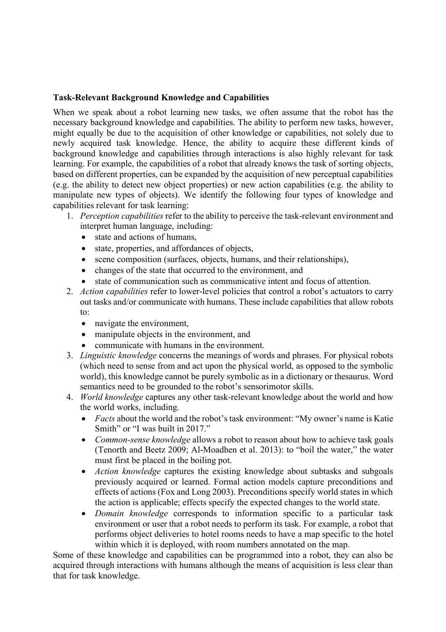## **Task-Relevant Background Knowledge and Capabilities**

When we speak about a robot learning new tasks, we often assume that the robot has the necessary background knowledge and capabilities. The ability to perform new tasks, however, might equally be due to the acquisition of other knowledge or capabilities, not solely due to newly acquired task knowledge. Hence, the ability to acquire these different kinds of background knowledge and capabilities through interactions is also highly relevant for task learning. For example, the capabilities of a robot that already knows the task of sorting objects, based on different properties, can be expanded by the acquisition of new perceptual capabilities (e.g. the ability to detect new object properties) or new action capabilities (e.g. the ability to manipulate new types of objects). We identify the following four types of knowledge and capabilities relevant for task learning:

- 1. *Perception capabilities* refer to the ability to perceive the task-relevant environment and interpret human language, including:
	- state and actions of humans,
	- state, properties, and affordances of objects,
	- scene composition (surfaces, objects, humans, and their relationships),
	- changes of the state that occurred to the environment, and
	- state of communication such as communicative intent and focus of attention.
- 2. *Action capabilities* refer to lower-level policies that control a robot's actuators to carry out tasks and/or communicate with humans. These include capabilities that allow robots to:
	- navigate the environment,
	- manipulate objects in the environment, and
	- communicate with humans in the environment.
- 3. *Linguistic knowledge* concerns the meanings of words and phrases. For physical robots (which need to sense from and act upon the physical world, as opposed to the symbolic world), this knowledge cannot be purely symbolic as in a dictionary or thesaurus. Word semantics need to be grounded to the robot's sensorimotor skills.
- 4. *World knowledge* captures any other task-relevant knowledge about the world and how the world works, including.
	- *Facts* about the world and the robot's task environment: "My owner's name is Katie Smith" or "I was built in 2017."
	- *Common-sense knowledge* allows a robot to reason about how to achieve task goals (Tenorth and Beetz 2009; Al-Moadhen et al. 2013): to "boil the water," the water must first be placed in the boiling pot.
	- *Action knowledge* captures the existing knowledge about subtasks and subgoals previously acquired or learned. Formal action models capture preconditions and effects of actions (Fox and Long 2003). Preconditions specify world states in which the action is applicable; effects specify the expected changes to the world state.
	- *Domain knowledge* corresponds to information specific to a particular task environment or user that a robot needs to perform its task. For example, a robot that performs object deliveries to hotel rooms needs to have a map specific to the hotel within which it is deployed, with room numbers annotated on the map.

Some of these knowledge and capabilities can be programmed into a robot, they can also be acquired through interactions with humans although the means of acquisition is less clear than that for task knowledge.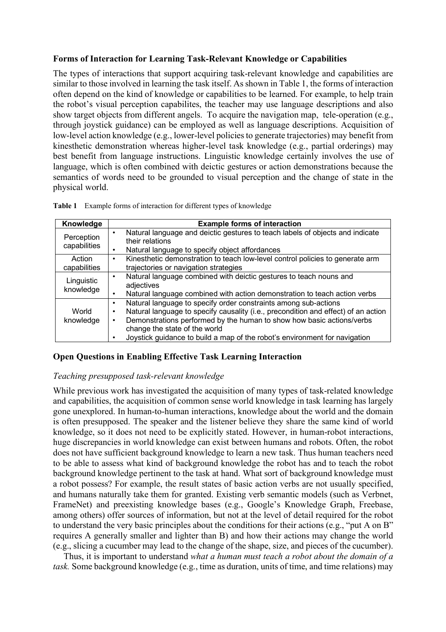### **Forms of Interaction for Learning Task-Relevant Knowledge or Capabilities**

The types of interactions that support acquiring task-relevant knowledge and capabilities are similar to those involved in learning the task itself. As shown in Table 1, the forms of interaction often depend on the kind of knowledge or capabilities to be learned. For example, to help train the robot's visual perception capabilites, the teacher may use language descriptions and also show target objects from different angels. To acquire the navigation map, tele-operation (e.g., through joystick guidance) can be employed as well as language descriptions. Acquisition of low-level action knowledge (e.g., lower-level policies to generate trajectories) may benefit from kinesthetic demonstration whereas higher-level task knowledge (e.g., partial orderings) may best benefit from language instructions. Linguistic knowledge certainly involves the use of language, which is often combined with deictic gestures or action demonstrations because the semantics of words need to be grounded to visual perception and the change of state in the physical world.

| Knowledge                  | <b>Example forms of interaction</b>                                                                                                                                                                                                                                                                                                                                          |  |  |  |  |
|----------------------------|------------------------------------------------------------------------------------------------------------------------------------------------------------------------------------------------------------------------------------------------------------------------------------------------------------------------------------------------------------------------------|--|--|--|--|
| Perception<br>capabilities | Natural language and deictic gestures to teach labels of objects and indicate<br>$\bullet$<br>their relations<br>Natural language to specify object affordances<br>٠                                                                                                                                                                                                         |  |  |  |  |
| Action<br>capabilities     | Kinesthetic demonstration to teach low-level control policies to generate arm<br>$\bullet$<br>trajectories or navigation strategies                                                                                                                                                                                                                                          |  |  |  |  |
| Linguistic<br>knowledge    | Natural language combined with deictic gestures to teach nouns and<br>$\bullet$<br>adjectives<br>Natural language combined with action demonstration to teach action verbs<br>$\bullet$                                                                                                                                                                                      |  |  |  |  |
| World<br>knowledge         | Natural language to specify order constraints among sub-actions<br>$\bullet$<br>Natural language to specify causality (i.e., precondition and effect) of an action<br>٠<br>Demonstrations performed by the human to show how basic actions/verbs<br>$\bullet$<br>change the state of the world<br>Joystick guidance to build a map of the robot's environment for navigation |  |  |  |  |

|  |  | <b>Table 1</b> Example forms of interaction for different types of knowledge |
|--|--|------------------------------------------------------------------------------|
|  |  |                                                                              |

### **Open Questions in Enabling Effective Task Learning Interaction**

### *Teaching presupposed task-relevant knowledge*

While previous work has investigated the acquisition of many types of task-related knowledge and capabilities, the acquisition of common sense world knowledge in task learning has largely gone unexplored. In human-to-human interactions, knowledge about the world and the domain is often presupposed. The speaker and the listener believe they share the same kind of world knowledge, so it does not need to be explicitly stated. However, in human-robot interactions, huge discrepancies in world knowledge can exist between humans and robots. Often, the robot does not have sufficient background knowledge to learn a new task. Thus human teachers need to be able to assess what kind of background knowledge the robot has and to teach the robot background knowledge pertinent to the task at hand. What sort of background knowledge must a robot possess? For example, the result states of basic action verbs are not usually specified, and humans naturally take them for granted. Existing verb semantic models (such as Verbnet, FrameNet) and preexisting knowledge bases (e.g., Google's Knowledge Graph, Freebase, among others) offer sources of information, but not at the level of detail required for the robot to understand the very basic principles about the conditions for their actions (e.g., "put A on B" requires A generally smaller and lighter than B) and how their actions may change the world (e.g., slicing a cucumber may lead to the change of the shape, size, and pieces of the cucumber).

Thus, it is important to understand *what a human must teach a robot about the domain of a task.* Some background knowledge (e.g., time as duration, units of time, and time relations) may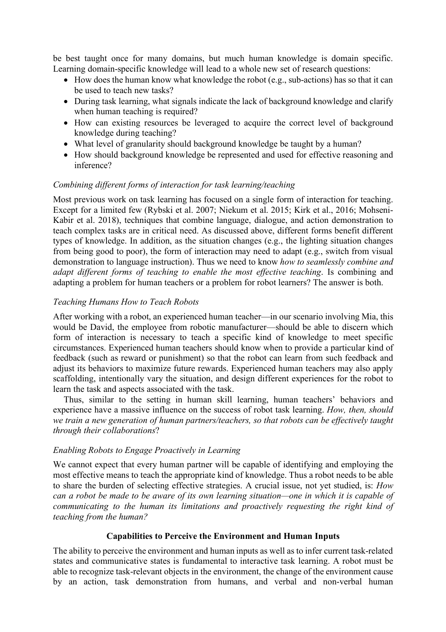be best taught once for many domains, but much human knowledge is domain specific. Learning domain-specific knowledge will lead to a whole new set of research questions:

- How does the human know what knowledge the robot (e.g., sub-actions) has so that it can be used to teach new tasks?
- During task learning, what signals indicate the lack of background knowledge and clarify when human teaching is required?
- How can existing resources be leveraged to acquire the correct level of background knowledge during teaching?
- What level of granularity should background knowledge be taught by a human?
- How should background knowledge be represented and used for effective reasoning and inference?

### *Combining different forms of interaction for task learning/teaching*

Most previous work on task learning has focused on a single form of interaction for teaching. Except for a limited few (Rybski et al. 2007; Niekum et al. 2015; Kirk et al., 2016; Mohseni-Kabir et al. 2018), techniques that combine language, dialogue, and action demonstration to teach complex tasks are in critical need. As discussed above, different forms benefit different types of knowledge. In addition, as the situation changes (e.g., the lighting situation changes from being good to poor), the form of interaction may need to adapt (e.g., switch from visual demonstration to language instruction). Thus we need to know *how to seamlessly combine and adapt different forms of teaching to enable the most effective teaching*. Is combining and adapting a problem for human teachers or a problem for robot learners? The answer is both.

### *Teaching Humans How to Teach Robots*

After working with a robot, an experienced human teacher—in our scenario involving Mia, this would be David, the employee from robotic manufacturer—should be able to discern which form of interaction is necessary to teach a specific kind of knowledge to meet specific circumstances. Experienced human teachers should know when to provide a particular kind of feedback (such as reward or punishment) so that the robot can learn from such feedback and adjust its behaviors to maximize future rewards. Experienced human teachers may also apply scaffolding, intentionally vary the situation, and design different experiences for the robot to learn the task and aspects associated with the task.

Thus, similar to the setting in human skill learning, human teachers' behaviors and experience have a massive influence on the success of robot task learning. *How, then, should we train a new generation of human partners/teachers, so that robots can be effectively taught through their collaborations*?

### *Enabling Robots to Engage Proactively in Learning*

We cannot expect that every human partner will be capable of identifying and employing the most effective means to teach the appropriate kind of knowledge. Thus a robot needs to be able to share the burden of selecting effective strategies. A crucial issue, not yet studied, is: *How can a robot be made to be aware of its own learning situation—one in which it is capable of communicating to the human its limitations and proactively requesting the right kind of teaching from the human?*

### **Capabilities to Perceive the Environment and Human Inputs**

The ability to perceive the environment and human inputs as well as to infer current task-related states and communicative states is fundamental to interactive task learning. A robot must be able to recognize task-relevant objects in the environment, the change of the environment cause by an action, task demonstration from humans, and verbal and non-verbal human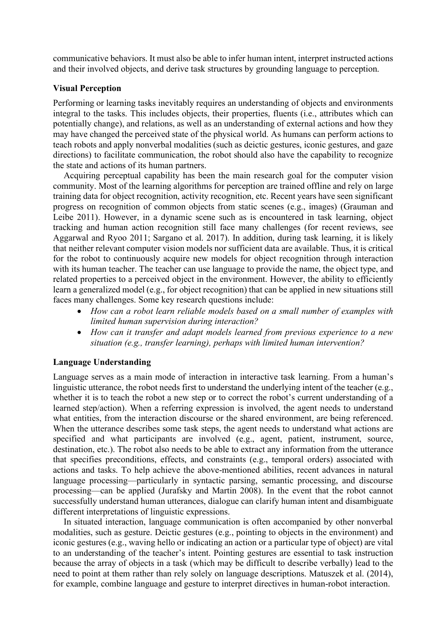communicative behaviors. It must also be able to infer human intent, interpret instructed actions and their involved objects, and derive task structures by grounding language to perception.

### **Visual Perception**

Performing or learning tasks inevitably requires an understanding of objects and environments integral to the tasks. This includes objects, their properties, fluents (i.e., attributes which can potentially change), and relations, as well as an understanding of external actions and how they may have changed the perceived state of the physical world. As humans can perform actions to teach robots and apply nonverbal modalities (such as deictic gestures, iconic gestures, and gaze directions) to facilitate communication, the robot should also have the capability to recognize the state and actions of its human partners.

Acquiring perceptual capability has been the main research goal for the computer vision community. Most of the learning algorithms for perception are trained offline and rely on large training data for object recognition, activity recognition, etc. Recent years have seen significant progress on recognition of common objects from static scenes (e.g., images) (Grauman and Leibe 2011). However, in a dynamic scene such as is encountered in task learning, object tracking and human action recognition still face many challenges (for recent reviews, see Aggarwal and Ryoo 2011; Sargano et al. 2017). In addition, during task learning, it is likely that neither relevant computer vision models nor sufficient data are available. Thus, it is critical for the robot to continuously acquire new models for object recognition through interaction with its human teacher. The teacher can use language to provide the name, the object type, and related properties to a perceived object in the environment. However, the ability to efficiently learn a generalized model (e.g., for object recognition) that can be applied in new situations still faces many challenges. Some key research questions include:

- *How can a robot learn reliable models based on a small number of examples with limited human supervision during interaction?*
- *How can it transfer and adapt models learned from previous experience to a new situation (e.g., transfer learning), perhaps with limited human intervention?*

## **Language Understanding**

Language serves as a main mode of interaction in interactive task learning. From a human's linguistic utterance, the robot needs first to understand the underlying intent of the teacher (e.g., whether it is to teach the robot a new step or to correct the robot's current understanding of a learned step/action). When a referring expression is involved, the agent needs to understand what entities, from the interaction discourse or the shared environment, are being referenced. When the utterance describes some task steps, the agent needs to understand what actions are specified and what participants are involved (e.g., agent, patient, instrument, source, destination, etc.). The robot also needs to be able to extract any information from the utterance that specifies preconditions, effects, and constraints (e.g., temporal orders) associated with actions and tasks. To help achieve the above-mentioned abilities, recent advances in natural language processing—particularly in syntactic parsing, semantic processing, and discourse processing—can be applied (Jurafsky and Martin 2008). In the event that the robot cannot successfully understand human utterances, dialogue can clarify human intent and disambiguate different interpretations of linguistic expressions.

In situated interaction, language communication is often accompanied by other nonverbal modalities, such as gesture. Deictic gestures (e.g., pointing to objects in the environment) and iconic gestures (e.g., waving hello or indicating an action or a particular type of object) are vital to an understanding of the teacher's intent. Pointing gestures are essential to task instruction because the array of objects in a task (which may be difficult to describe verbally) lead to the need to point at them rather than rely solely on language descriptions. Matuszek et al. (2014), for example, combine language and gesture to interpret directives in human-robot interaction.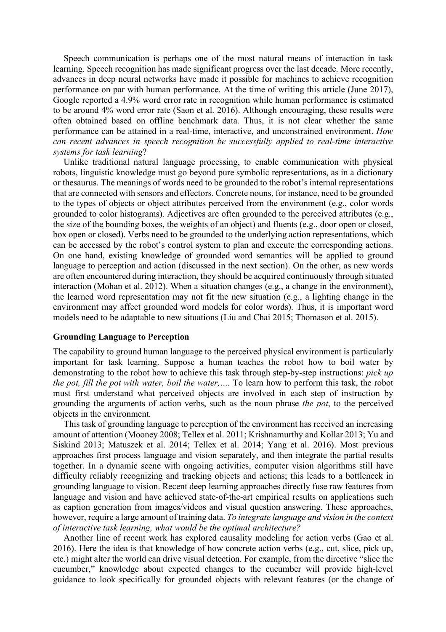Speech communication is perhaps one of the most natural means of interaction in task learning. Speech recognition has made significant progress over the last decade. More recently, advances in deep neural networks have made it possible for machines to achieve recognition performance on par with human performance. At the time of writing this article (June 2017), Google reported a 4.9% word error rate in recognition while human performance is estimated to be around 4% word error rate (Saon et al. 2016). Although encouraging, these results were often obtained based on offline benchmark data. Thus, it is not clear whether the same performance can be attained in a real-time, interactive, and unconstrained environment. *How can recent advances in speech recognition be successfully applied to real-time interactive systems for task learning*?

Unlike traditional natural language processing, to enable communication with physical robots, linguistic knowledge must go beyond pure symbolic representations, as in a dictionary or thesaurus. The meanings of words need to be grounded to the robot's internal representations that are connected with sensors and effectors. Concrete nouns, for instance, need to be grounded to the types of objects or object attributes perceived from the environment (e.g., color words grounded to color histograms). Adjectives are often grounded to the perceived attributes (e.g., the size of the bounding boxes, the weights of an object) and fluents (e.g., door open or closed, box open or closed). Verbs need to be grounded to the underlying action representations, which can be accessed by the robot's control system to plan and execute the corresponding actions. On one hand, existing knowledge of grounded word semantics will be applied to ground language to perception and action (discussed in the next section). On the other, as new words are often encountered during interaction, they should be acquired continuously through situated interaction (Mohan et al. 2012). When a situation changes (e.g., a change in the environment), the learned word representation may not fit the new situation (e.g., a lighting change in the environment may affect grounded word models for color words). Thus, it is important word models need to be adaptable to new situations (Liu and Chai 2015; Thomason et al. 2015).

### **Grounding Language to Perception**

The capability to ground human language to the perceived physical environment is particularly important for task learning. Suppose a human teaches the robot how to boil water by demonstrating to the robot how to achieve this task through step-by-step instructions: *pick up the pot, fill the pot with water, boil the water,….* To learn how to perform this task, the robot must first understand what perceived objects are involved in each step of instruction by grounding the arguments of action verbs, such as the noun phrase *the pot*, to the perceived objects in the environment.

This task of grounding language to perception of the environment has received an increasing amount of attention (Mooney 2008; Tellex et al. 2011; Krishnamurthy and Kollar 2013; Yu and Siskind 2013; Matuszek et al. 2014; Tellex et al. 2014; Yang et al. 2016). Most previous approaches first process language and vision separately, and then integrate the partial results together. In a dynamic scene with ongoing activities, computer vision algorithms still have difficulty reliably recognizing and tracking objects and actions; this leads to a bottleneck in grounding language to vision. Recent deep learning approaches directly fuse raw features from language and vision and have achieved state-of-the-art empirical results on applications such as caption generation from images/videos and visual question answering. These approaches, however, require a large amount of training data. *To integrate language and vision in the context of interactive task learning, what would be the optimal architecture?*

Another line of recent work has explored causality modeling for action verbs (Gao et al. 2016). Here the idea is that knowledge of how concrete action verbs (e.g., cut, slice, pick up, etc.) might alter the world can drive visual detection. For example, from the directive "slice the cucumber," knowledge about expected changes to the cucumber will provide high-level guidance to look specifically for grounded objects with relevant features (or the change of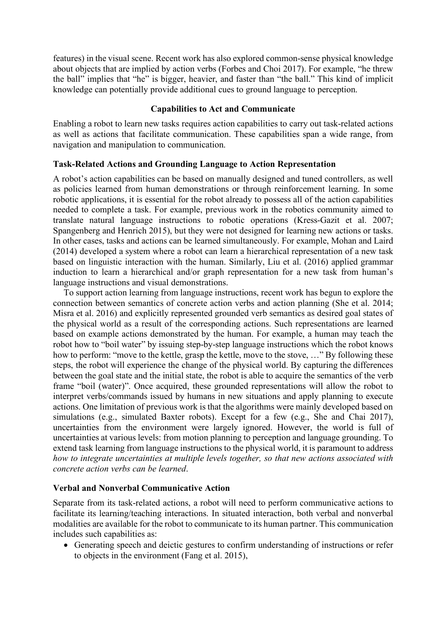features) in the visual scene. Recent work has also explored common-sense physical knowledge about objects that are implied by action verbs (Forbes and Choi 2017). For example, "he threw the ball" implies that "he" is bigger, heavier, and faster than "the ball." This kind of implicit knowledge can potentially provide additional cues to ground language to perception.

### **Capabilities to Act and Communicate**

Enabling a robot to learn new tasks requires action capabilities to carry out task-related actions as well as actions that facilitate communication. These capabilities span a wide range, from navigation and manipulation to communication.

## **Task-Related Actions and Grounding Language to Action Representation**

A robot's action capabilities can be based on manually designed and tuned controllers, as well as policies learned from human demonstrations or through reinforcement learning. In some robotic applications, it is essential for the robot already to possess all of the action capabilities needed to complete a task. For example, previous work in the robotics community aimed to translate natural language instructions to robotic operations (Kress-Gazit et al. 2007; Spangenberg and Henrich 2015), but they were not designed for learning new actions or tasks. In other cases, tasks and actions can be learned simultaneously. For example, Mohan and Laird (2014) developed a system where a robot can learn a hierarchical representation of a new task based on linguistic interaction with the human. Similarly, Liu et al. (2016) applied grammar induction to learn a hierarchical and/or graph representation for a new task from human's language instructions and visual demonstrations.

To support action learning from language instructions, recent work has begun to explore the connection between semantics of concrete action verbs and action planning (She et al. 2014; Misra et al. 2016) and explicitly represented grounded verb semantics as desired goal states of the physical world as a result of the corresponding actions. Such representations are learned based on example actions demonstrated by the human. For example, a human may teach the robot how to "boil water" by issuing step-by-step language instructions which the robot knows how to perform: "move to the kettle, grasp the kettle, move to the stove, …" By following these steps, the robot will experience the change of the physical world. By capturing the differences between the goal state and the initial state, the robot is able to acquire the semantics of the verb frame "boil (water)". Once acquired, these grounded representations will allow the robot to interpret verbs/commands issued by humans in new situations and apply planning to execute actions. One limitation of previous work is that the algorithms were mainly developed based on simulations (e.g., simulated Baxter robots). Except for a few (e.g., She and Chai 2017), uncertainties from the environment were largely ignored. However, the world is full of uncertainties at various levels: from motion planning to perception and language grounding. To extend task learning from language instructions to the physical world, it is paramount to address *how to integrate uncertainties at multiple levels together, so that new actions associated with concrete action verbs can be learned*.

## **Verbal and Nonverbal Communicative Action**

Separate from its task-related actions, a robot will need to perform communicative actions to facilitate its learning/teaching interactions. In situated interaction, both verbal and nonverbal modalities are available for the robot to communicate to its human partner. This communication includes such capabilities as:

• Generating speech and deictic gestures to confirm understanding of instructions or refer to objects in the environment (Fang et al. 2015),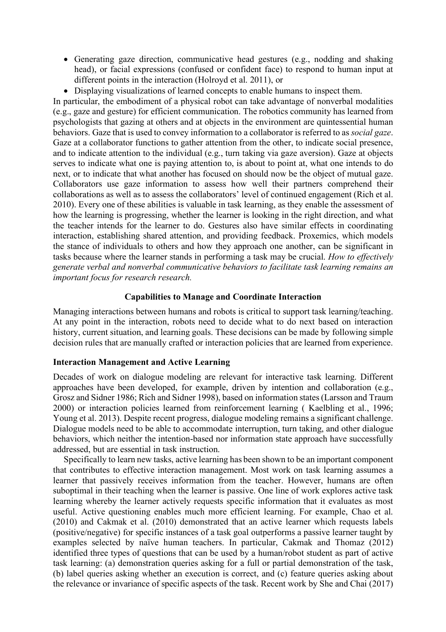- Generating gaze direction, communicative head gestures (e.g., nodding and shaking head), or facial expressions (confused or confident face) to respond to human input at different points in the interaction (Holroyd et al. 2011), or
- Displaying visualizations of learned concepts to enable humans to inspect them.

In particular, the embodiment of a physical robot can take advantage of nonverbal modalities (e.g., gaze and gesture) for efficient communication. The robotics community has learned from psychologists that gazing at others and at objects in the environment are quintessential human behaviors. Gaze that is used to convey information to a collaborator is referred to as *social gaze*. Gaze at a collaborator functions to gather attention from the other, to indicate social presence, and to indicate attention to the individual (e.g., turn taking via gaze aversion). Gaze at objects serves to indicate what one is paying attention to, is about to point at, what one intends to do next, or to indicate that what another has focused on should now be the object of mutual gaze. Collaborators use gaze information to assess how well their partners comprehend their collaborations as well as to assess the collaborators' level of continued engagement (Rich et al. 2010). Every one of these abilities is valuable in task learning, as they enable the assessment of how the learning is progressing, whether the learner is looking in the right direction, and what the teacher intends for the learner to do. Gestures also have similar effects in coordinating interaction, establishing shared attention, and providing feedback. Proxemics, which models the stance of individuals to others and how they approach one another, can be significant in tasks because where the learner stands in performing a task may be crucial. *How to effectively generate verbal and nonverbal communicative behaviors to facilitate task learning remains an important focus for research research.*

### **Capabilities to Manage and Coordinate Interaction**

Managing interactions between humans and robots is critical to support task learning/teaching. At any point in the interaction, robots need to decide what to do next based on interaction history, current situation, and learning goals. These decisions can be made by following simple decision rules that are manually crafted or interaction policies that are learned from experience.

## **Interaction Management and Active Learning**

Decades of work on dialogue modeling are relevant for interactive task learning. Different approaches have been developed, for example, driven by intention and collaboration (e.g., Grosz and Sidner 1986; Rich and Sidner 1998), based on information states (Larsson and Traum 2000) or interaction policies learned from reinforcement learning ( Kaelbling et al., 1996; Young et al. 2013). Despite recent progress, dialogue modeling remains a significant challenge. Dialogue models need to be able to accommodate interruption, turn taking, and other dialogue behaviors, which neither the intention-based nor information state approach have successfully addressed, but are essential in task instruction.

Specifically to learn new tasks, active learning has been shown to be an important component that contributes to effective interaction management. Most work on task learning assumes a learner that passively receives information from the teacher. However, humans are often suboptimal in their teaching when the learner is passive. One line of work explores active task learning whereby the learner actively requests specific information that it evaluates as most useful. Active questioning enables much more efficient learning. For example, Chao et al. (2010) and Cakmak et al. (2010) demonstrated that an active learner which requests labels (positive/negative) for specific instances of a task goal outperforms a passive learner taught by examples selected by naïve human teachers. In particular, Cakmak and Thomaz (2012) identified three types of questions that can be used by a human/robot student as part of active task learning: (a) demonstration queries asking for a full or partial demonstration of the task, (b) label queries asking whether an execution is correct, and (c) feature queries asking about the relevance or invariance of specific aspects of the task. Recent work by She and Chai (2017)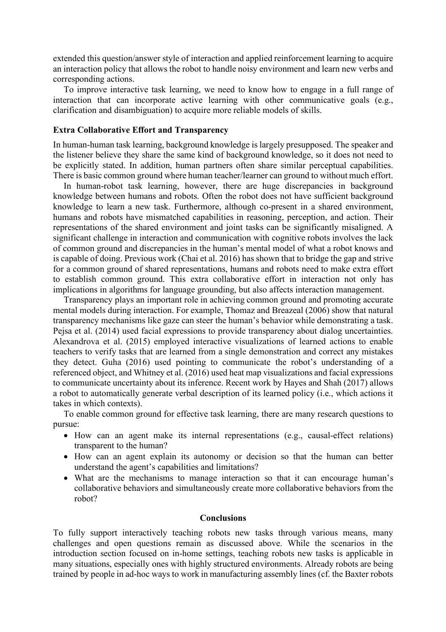extended this question/answer style of interaction and applied reinforcement learning to acquire an interaction policy that allows the robot to handle noisy environment and learn new verbs and corresponding actions.

To improve interactive task learning, we need to know how to engage in a full range of interaction that can incorporate active learning with other communicative goals (e.g., clarification and disambiguation) to acquire more reliable models of skills.

#### **Extra Collaborative Effort and Transparency**

In human-human task learning, background knowledge is largely presupposed. The speaker and the listener believe they share the same kind of background knowledge, so it does not need to be explicitly stated. In addition, human partners often share similar perceptual capabilities. There is basic common ground where human teacher/learner can ground to without much effort.

In human-robot task learning, however, there are huge discrepancies in background knowledge between humans and robots. Often the robot does not have sufficient background knowledge to learn a new task. Furthermore, although co-present in a shared environment, humans and robots have mismatched capabilities in reasoning, perception, and action. Their representations of the shared environment and joint tasks can be significantly misaligned. A significant challenge in interaction and communication with cognitive robots involves the lack of common ground and discrepancies in the human's mental model of what a robot knows and is capable of doing. Previous work (Chai et al. 2016) has shown that to bridge the gap and strive for a common ground of shared representations, humans and robots need to make extra effort to establish common ground. This extra collaborative effort in interaction not only has implications in algorithms for language grounding, but also affects interaction management.

Transparency plays an important role in achieving common ground and promoting accurate mental models during interaction. For example, Thomaz and Breazeal (2006) show that natural transparency mechanisms like gaze can steer the human's behavior while demonstrating a task. Pejsa et al. (2014) used facial expressions to provide transparency about dialog uncertainties. Alexandrova et al. (2015) employed interactive visualizations of learned actions to enable teachers to verify tasks that are learned from a single demonstration and correct any mistakes they detect. Guha (2016) used pointing to communicate the robot's understanding of a referenced object, and Whitney et al. (2016) used heat map visualizations and facial expressions to communicate uncertainty about its inference. Recent work by Hayes and Shah (2017) allows a robot to automatically generate verbal description of its learned policy (i.e., which actions it takes in which contexts).

To enable common ground for effective task learning, there are many research questions to pursue:

- How can an agent make its internal representations (e.g., causal-effect relations) transparent to the human?
- How can an agent explain its autonomy or decision so that the human can better understand the agent's capabilities and limitations?
- What are the mechanisms to manage interaction so that it can encourage human's collaborative behaviors and simultaneously create more collaborative behaviors from the robot?

#### **Conclusions**

To fully support interactively teaching robots new tasks through various means, many challenges and open questions remain as discussed above. While the scenarios in the introduction section focused on in-home settings, teaching robots new tasks is applicable in many situations, especially ones with highly structured environments. Already robots are being trained by people in ad-hoc ways to work in manufacturing assembly lines (cf. the Baxter robots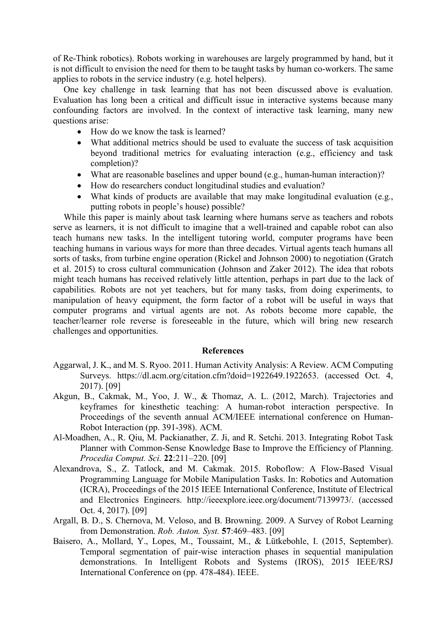of Re-Think robotics). Robots working in warehouses are largely programmed by hand, but it is not difficult to envision the need for them to be taught tasks by human co-workers. The same applies to robots in the service industry (e.g. hotel helpers).

One key challenge in task learning that has not been discussed above is evaluation. Evaluation has long been a critical and difficult issue in interactive systems because many confounding factors are involved. In the context of interactive task learning, many new questions arise:

- How do we know the task is learned?
- What additional metrics should be used to evaluate the success of task acquisition beyond traditional metrics for evaluating interaction (e.g., efficiency and task completion)?
- What are reasonable baselines and upper bound (e.g., human-human interaction)?
- How do researchers conduct longitudinal studies and evaluation?
- What kinds of products are available that may make longitudinal evaluation (e.g., putting robots in people's house) possible?

While this paper is mainly about task learning where humans serve as teachers and robots serve as learners, it is not difficult to imagine that a well-trained and capable robot can also teach humans new tasks. In the intelligent tutoring world, computer programs have been teaching humans in various ways for more than three decades. Virtual agents teach humans all sorts of tasks, from turbine engine operation (Rickel and Johnson 2000) to negotiation (Gratch et al. 2015) to cross cultural communication (Johnson and Zaker 2012). The idea that robots might teach humans has received relatively little attention, perhaps in part due to the lack of capabilities. Robots are not yet teachers, but for many tasks, from doing experiments, to manipulation of heavy equipment, the form factor of a robot will be useful in ways that computer programs and virtual agents are not. As robots become more capable, the teacher/learner role reverse is foreseeable in the future, which will bring new research challenges and opportunities.

#### **References**

- Aggarwal, J. K., and M. S. Ryoo. 2011. Human Activity Analysis: A Review. ACM Computing Surveys. https://dl.acm.org/citation.cfm?doid=1922649.1922653. (accessed Oct. 4, 2017). [09]
- Akgun, B., Cakmak, M., Yoo, J. W., & Thomaz, A. L. (2012, March). Trajectories and keyframes for kinesthetic teaching: A human-robot interaction perspective. In Proceedings of the seventh annual ACM/IEEE international conference on Human-Robot Interaction (pp. 391-398). ACM.
- Al-Moadhen, A., R. Qiu, M. Packianather, Z. Ji, and R. Setchi. 2013. Integrating Robot Task Planner with Common-Sense Knowledge Base to Improve the Efficiency of Planning. *Procedia Comput. Sci.* **22**:211–220. [09]
- Alexandrova, S., Z. Tatlock, and M. Cakmak. 2015. Roboflow: A Flow-Based Visual Programming Language for Mobile Manipulation Tasks. In: Robotics and Automation (ICRA), Proceedings of the 2015 IEEE International Conference, Institute of Electrical and Electronics Engineers. http://ieeexplore.ieee.org/document/7139973/. (accessed Oct. 4, 2017). [09]
- Argall, B. D., S. Chernova, M. Veloso, and B. Browning. 2009. A Survey of Robot Learning from Demonstration. *Rob. Auton. Syst.* **57**:469–483. [09]
- Baisero, A., Mollard, Y., Lopes, M., Toussaint, M., & Lütkebohle, I. (2015, September). Temporal segmentation of pair-wise interaction phases in sequential manipulation demonstrations. In Intelligent Robots and Systems (IROS), 2015 IEEE/RSJ International Conference on (pp. 478-484). IEEE.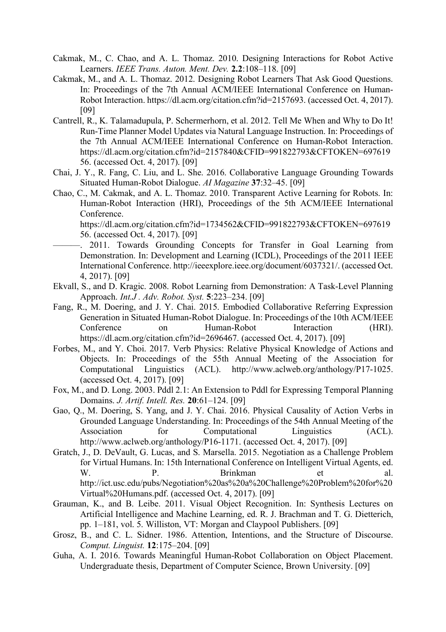- Cakmak, M., C. Chao, and A. L. Thomaz. 2010. Designing Interactions for Robot Active Learners. *IEEE Trans. Auton. Ment. Dev.* **2.2**:108–118. [09]
- Cakmak, M., and A. L. Thomaz. 2012. Designing Robot Learners That Ask Good Questions. In: Proceedings of the 7th Annual ACM/IEEE International Conference on Human-Robot Interaction. https://dl.acm.org/citation.cfm?id=2157693. (accessed Oct. 4, 2017). [09]
- Cantrell, R., K. Talamadupula, P. Schermerhorn, et al. 2012. Tell Me When and Why to Do It! Run-Time Planner Model Updates via Natural Language Instruction. In: Proceedings of the 7th Annual ACM/IEEE International Conference on Human-Robot Interaction. https://dl.acm.org/citation.cfm?id=2157840&CFID=991822793&CFTOKEN=697619 56. (accessed Oct. 4, 2017). [09]
- Chai, J. Y., R. Fang, C. Liu, and L. She. 2016. Collaborative Language Grounding Towards Situated Human-Robot Dialogue. *AI Magazine* **37**:32–45. [09]
- Chao, C., M. Cakmak, and A. L. Thomaz. 2010. Transparent Active Learning for Robots. In: Human-Robot Interaction (HRI), Proceedings of the 5th ACM/IEEE International Conference.

https://dl.acm.org/citation.cfm?id=1734562&CFID=991822793&CFTOKEN=697619 56. (accessed Oct. 4, 2017). [09]

- -. 2011. Towards Grounding Concepts for Transfer in Goal Learning from Demonstration. In: Development and Learning (ICDL), Proceedings of the 2011 IEEE International Conference. http://ieeexplore.ieee.org/document/6037321/. (accessed Oct. 4, 2017). [09]
- Ekvall, S., and D. Kragic. 2008. Robot Learning from Demonstration: A Task-Level Planning Approach. *Int.J . Adv. Robot. Syst.* **5**:223–234. [09]
- Fang, R., M. Doering, and J. Y. Chai. 2015. Embodied Collaborative Referring Expression Generation in Situated Human-Robot Dialogue. In: Proceedings of the 10th ACM/IEEE Conference on Human-Robot Interaction (HRI). https://dl.acm.org/citation.cfm?id=2696467. (accessed Oct. 4, 2017). [09]
- Forbes, M., and Y. Choi. 2017. Verb Physics: Relative Physical Knowledge of Actions and Objects. In: Proceedings of the 55th Annual Meeting of the Association for Computational Linguistics (ACL). http://www.aclweb.org/anthology/P17-1025. (accessed Oct. 4, 2017). [09]
- Fox, M., and D. Long. 2003. Pddl 2.1: An Extension to Pddl for Expressing Temporal Planning Domains. *J. Artif. Intell. Res.* **20**:61–124. [09]
- Gao, Q., M. Doering, S. Yang, and J. Y. Chai. 2016. Physical Causality of Action Verbs in Grounded Language Understanding. In: Proceedings of the 54th Annual Meeting of the Association for Computational Linguistics (ACL). http://www.aclweb.org/anthology/P16-1171. (accessed Oct. 4, 2017). [09]
- Gratch, J., D. DeVault, G. Lucas, and S. Marsella. 2015. Negotiation as a Challenge Problem for Virtual Humans. In: 15th International Conference on Intelligent Virtual Agents, ed. W. P. Brinkman et al. http://ict.usc.edu/pubs/Negotiation%20as%20a%20Challenge%20Problem%20for%20 Virtual%20Humans.pdf. (accessed Oct. 4, 2017). [09]
- Grauman, K., and B. Leibe. 2011. Visual Object Recognition. In: Synthesis Lectures on Artificial Intelligence and Machine Learning, ed. R. J. Brachman and T. G. Dietterich, pp. 1–181, vol. 5. Williston, VT: Morgan and Claypool Publishers. [09]
- Grosz, B., and C. L. Sidner. 1986. Attention, Intentions, and the Structure of Discourse. *Comput. Linguist.* **12**:175–204. [09]
- Guha, A. I. 2016. Towards Meaningful Human-Robot Collaboration on Object Placement. Undergraduate thesis, Department of Computer Science, Brown University. [09]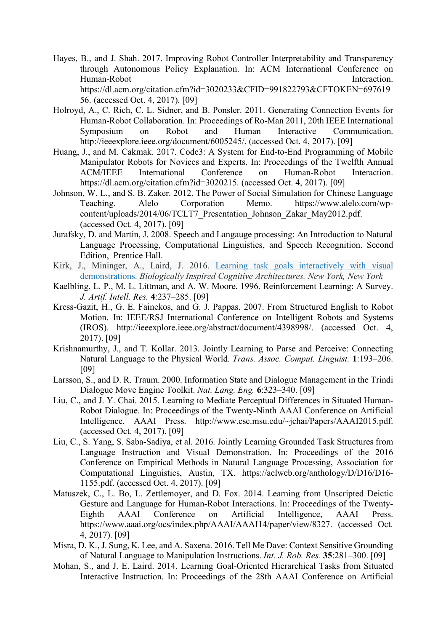- Hayes, B., and J. Shah. 2017. Improving Robot Controller Interpretability and Transparency through Autonomous Policy Explanation. In: ACM International Conference on Human-Robot **Interaction** https://dl.acm.org/citation.cfm?id=3020233&CFID=991822793&CFTOKEN=697619 56. (accessed Oct. 4, 2017). [09]
- Holroyd, A., C. Rich, C. L. Sidner, and B. Ponsler. 2011. Generating Connection Events for Human-Robot Collaboration. In: Proceedings of Ro-Man 2011, 20th IEEE International Symposium on Robot and Human Interactive Communication. http://ieeexplore.ieee.org/document/6005245/. (accessed Oct. 4, 2017). [09]
- Huang, J., and M. Cakmak. 2017. Code3: A System for End-to-End Programming of Mobile Manipulator Robots for Novices and Experts. In: Proceedings of the Twelfth Annual ACM/IEEE International Conference on Human-Robot Interaction. https://dl.acm.org/citation.cfm?id=3020215. (accessed Oct. 4, 2017). [09]
- Johnson, W. L., and S. B. Zaker. 2012. The Power of Social Simulation for Chinese Language Teaching. Alelo Corporation Memo. https://www.alelo.com/wpcontent/uploads/2014/06/TCLT7\_Presentation\_Johnson\_Zakar\_May2012.pdf. (accessed Oct. 4, 2017). [09]
- Jurafsky, D. and Martin, J. 2008. Speech and Langauge processing: An Introduction to Natural Language Processing, Computational Linguistics, and Speech Recognition. Second Edition, Prentice Hall.
- Kirk, J., Mininger, A., Laird, J. 2016. Learning task goals interactively with visual demonstrations. *Biologically Inspired Cognitive Architectures. New York, New York*
- Kaelbling, L. P., M. L. Littman, and A. W. Moore. 1996. Reinforcement Learning: A Survey. *J. Artif. Intell. Res.* **4**:237–285. [09]
- Kress-Gazit, H., G. E. Fainekos, and G. J. Pappas. 2007. From Structured English to Robot Motion. In: IEEE/RSJ International Conference on Intelligent Robots and Systems (IROS). http://ieeexplore.ieee.org/abstract/document/4398998/. (accessed Oct. 4, 2017). [09]
- Krishnamurthy, J., and T. Kollar. 2013. Jointly Learning to Parse and Perceive: Connecting Natural Language to the Physical World. *Trans. Assoc. Comput. Linguist.* **1**:193–206. [09]
- Larsson, S., and D. R. Traum. 2000. Information State and Dialogue Management in the Trindi Dialogue Move Engine Toolkit. *Nat. Lang. Eng.* **6**:323–340. [09]
- Liu, C., and J. Y. Chai. 2015. Learning to Mediate Perceptual Differences in Situated Human-Robot Dialogue. In: Proceedings of the Twenty-Ninth AAAI Conference on Artificial Intelligence, AAAI Press. http://www.cse.msu.edu/~jchai/Papers/AAAI2015.pdf. (accessed Oct. 4, 2017). [09]
- Liu, C., S. Yang, S. Saba-Sadiya, et al. 2016. Jointly Learning Grounded Task Structures from Language Instruction and Visual Demonstration. In: Proceedings of the 2016 Conference on Empirical Methods in Natural Language Processing, Association for Computational Linguistics, Austin, TX. https://aclweb.org/anthology/D/D16/D16- 1155.pdf. (accessed Oct. 4, 2017). [09]
- Matuszek, C., L. Bo, L. Zettlemoyer, and D. Fox. 2014. Learning from Unscripted Deictic Gesture and Language for Human-Robot Interactions. In: Proceedings of the Twenty-Eighth AAAI Conference on Artificial Intelligence, AAAI Press. https://www.aaai.org/ocs/index.php/AAAI/AAAI14/paper/view/8327. (accessed Oct. 4, 2017). [09]
- Misra, D. K., J. Sung, K. Lee, and A. Saxena. 2016. Tell Me Dave: Context Sensitive Grounding of Natural Language to Manipulation Instructions. *Int. J. Rob. Res.* **35**:281–300. [09]
- Mohan, S., and J. E. Laird. 2014. Learning Goal-Oriented Hierarchical Tasks from Situated Interactive Instruction. In: Proceedings of the 28th AAAI Conference on Artificial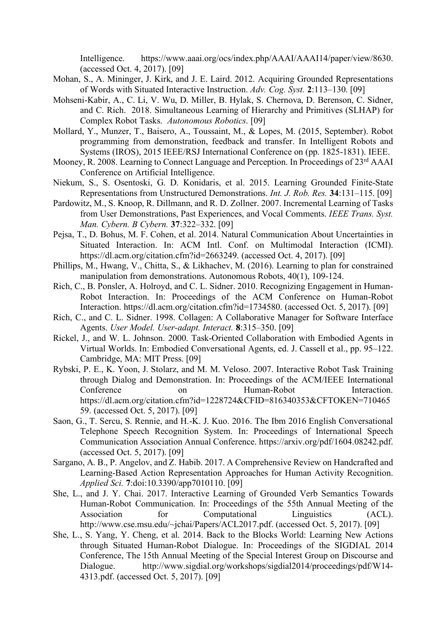Intelligence. https://www.aaai.org/ocs/index.php/AAAI/AAAI14/paper/view/8630. (accessed Oct. 4, 2017). [09]

- Mohan, S., A. Mininger, J. Kirk, and J. E. Laird. 2012. Acquiring Grounded Representations of Words with Situated Interactive Instruction. *Adv. Cog. Syst.* **2**:113–130. [09]
- Mohseni-Kabir, A., C. Li, V. Wu, D. Miller, B. Hylak, S. Chernova, D. Berenson, C. Sidner, and C. Rich. 2018. Simultaneous Learning of Hierarchy and Primitives (SLHAP) for Complex Robot Tasks. *Autonomous Robotics*. [09]
- Mollard, Y., Munzer, T., Baisero, A., Toussaint, M., & Lopes, M. (2015, September). Robot programming from demonstration, feedback and transfer. In Intelligent Robots and Systems (IROS), 2015 IEEE/RSJ International Conference on (pp. 1825-1831). IEEE.
- Mooney, R. 2008. Learning to Connect Language and Perception. In Proceedings of 23rd AAAI Conference on Artificial Intelligence.
- Niekum, S., S. Osentoski, G. D. Konidaris, et al. 2015. Learning Grounded Finite-State Representations from Unstructured Demonstrations. *Int. J. Rob. Res.* **34**:131–115. [09]
- Pardowitz, M., S. Knoop, R. Dillmann, and R. D. Zollner. 2007. Incremental Learning of Tasks from User Demonstrations, Past Experiences, and Vocal Comments. *IEEE Trans. Syst. Man. Cybern. B Cybern.* **37**:322–332. [09]
- Pejsa, T., D. Bohus, M. F. Cohen, et al. 2014. Natural Communication About Uncertainties in Situated Interaction. In: ACM Intl. Conf. on Multimodal Interaction (ICMI). https://dl.acm.org/citation.cfm?id=2663249. (accessed Oct. 4, 2017). [09]
- Phillips, M., Hwang, V., Chitta, S., & Likhachev, M. (2016). Learning to plan for constrained manipulation from demonstrations. Autonomous Robots, 40(1), 109-124.
- Rich, C., B. Ponsler, A. Holroyd, and C. L. Sidner. 2010. Recognizing Engagement in Human-Robot Interaction. In: Proceedings of the ACM Conference on Human-Robot Interaction. https://dl.acm.org/citation.cfm?id=1734580. (accessed Oct. 5, 2017). [09]
- Rich, C., and C. L. Sidner. 1998. Collagen: A Collaborative Manager for Software Interface Agents. *User Model. User-adapt. Interact.* **8**:315–350. [09]
- Rickel, J., and W. L. Johnson. 2000. Task-Oriented Collaboration with Embodied Agents in Virtual Worlds. In: Embodied Conversational Agents, ed. J. Cassell et al., pp. 95–122. Cambridge, MA: MIT Press. [09]
- Rybski, P. E., K. Yoon, J. Stolarz, and M. M. Veloso. 2007. Interactive Robot Task Training through Dialog and Demonstration. In: Proceedings of the ACM/IEEE International Conference on Human-Robot Interaction. https://dl.acm.org/citation.cfm?id=1228724&CFID=816340353&CFTOKEN=710465 59. (accessed Oct. 5, 2017). [09]
- Saon, G., T. Sercu, S. Rennie, and H.-K. J. Kuo. 2016. The Ibm 2016 English Conversational Telephone Speech Recognition System. In: Proceedings of International Speech Communication Association Annual Conference. https://arxiv.org/pdf/1604.08242.pdf. (accessed Oct. 5, 2017). [09]
- Sargano, A. B., P. Angelov, and Z. Habib. 2017. A Comprehensive Review on Handcrafted and Learning-Based Action Representation Approaches for Human Activity Recognition. *Applied Sci.* **7**:doi:10.3390/app7010110. [09]
- She, L., and J. Y. Chai. 2017. Interactive Learning of Grounded Verb Semantics Towards Human-Robot Communication. In: Proceedings of the 55th Annual Meeting of the Association for Computational Linguistics (ACL). http://www.cse.msu.edu/~jchai/Papers/ACL2017.pdf. (accessed Oct. 5, 2017). [09]
- She, L., S. Yang, Y. Cheng, et al. 2014. Back to the Blocks World: Learning New Actions through Situated Human-Robot Dialogue. In: Proceedings of the SIGDIAL 2014 Conference, The 15th Annual Meeting of the Special Interest Group on Discourse and Dialogue. http://www.sigdial.org/workshops/sigdial2014/proceedings/pdf/W14- 4313.pdf. (accessed Oct. 5, 2017). [09]